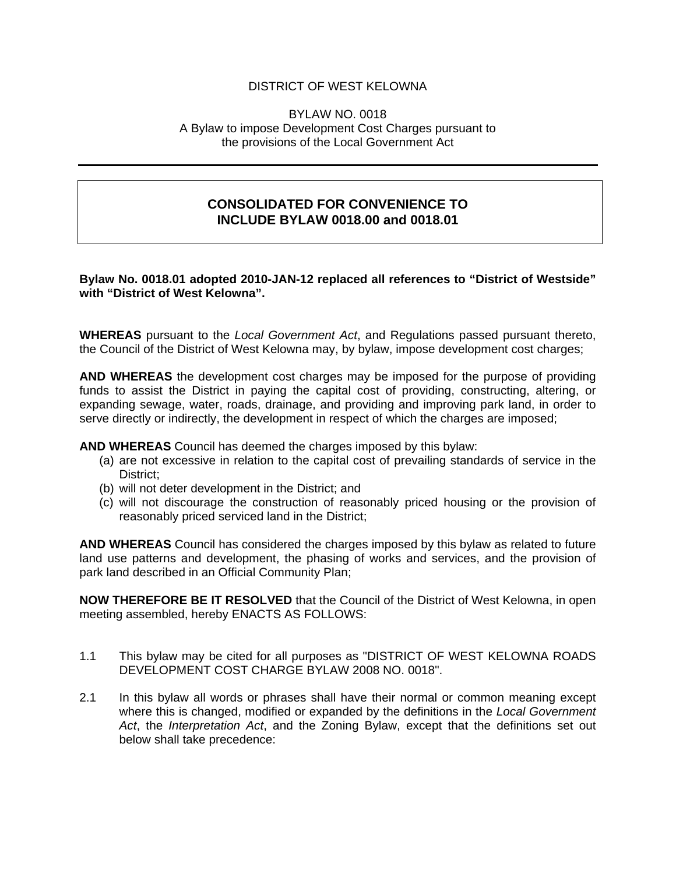## DISTRICT OF WEST KELOWNA

#### BYLAW NO. 0018 A Bylaw to impose Development Cost Charges pursuant to the provisions of the Local Government Act

# **CONSOLIDATED FOR CONVENIENCE TO INCLUDE BYLAW 0018.00 and 0018.01**

#### **Bylaw No. 0018.01 adopted 2010-JAN-12 replaced all references to "District of Westside" with "District of West Kelowna".**

**WHEREAS** pursuant to the *Local Government Act*, and Regulations passed pursuant thereto, the Council of the District of West Kelowna may, by bylaw, impose development cost charges;

**AND WHEREAS** the development cost charges may be imposed for the purpose of providing funds to assist the District in paying the capital cost of providing, constructing, altering, or expanding sewage, water, roads, drainage, and providing and improving park land, in order to serve directly or indirectly, the development in respect of which the charges are imposed;

**AND WHEREAS** Council has deemed the charges imposed by this bylaw:

- (a) are not excessive in relation to the capital cost of prevailing standards of service in the District;
- (b) will not deter development in the District; and
- (c) will not discourage the construction of reasonably priced housing or the provision of reasonably priced serviced land in the District;

**AND WHEREAS** Council has considered the charges imposed by this bylaw as related to future land use patterns and development, the phasing of works and services, and the provision of park land described in an Official Community Plan;

**NOW THEREFORE BE IT RESOLVED** that the Council of the District of West Kelowna, in open meeting assembled, hereby ENACTS AS FOLLOWS:

- 1.1 This bylaw may be cited for all purposes as "DISTRICT OF WEST KELOWNA ROADS DEVELOPMENT COST CHARGE BYLAW 2008 NO. 0018".
- 2.1 In this bylaw all words or phrases shall have their normal or common meaning except where this is changed, modified or expanded by the definitions in the *Local Government Act*, the *Interpretation Act*, and the Zoning Bylaw, except that the definitions set out below shall take precedence: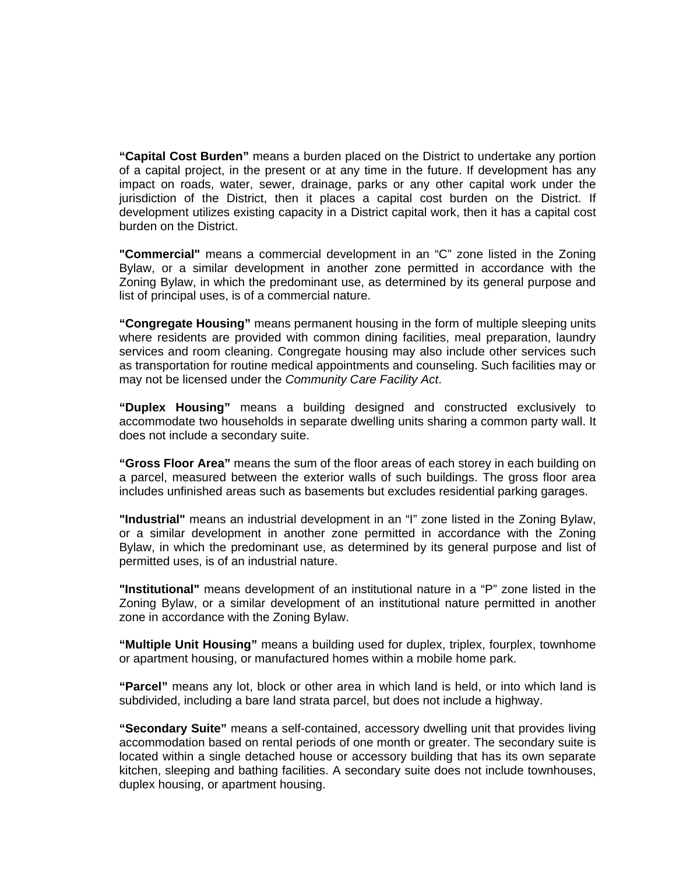**"Capital Cost Burden"** means a burden placed on the District to undertake any portion of a capital project, in the present or at any time in the future. If development has any impact on roads, water, sewer, drainage, parks or any other capital work under the jurisdiction of the District, then it places a capital cost burden on the District. If development utilizes existing capacity in a District capital work, then it has a capital cost burden on the District.

**"Commercial"** means a commercial development in an "C" zone listed in the Zoning Bylaw, or a similar development in another zone permitted in accordance with the Zoning Bylaw, in which the predominant use, as determined by its general purpose and list of principal uses, is of a commercial nature.

**"Congregate Housing"** means permanent housing in the form of multiple sleeping units where residents are provided with common dining facilities, meal preparation, laundry services and room cleaning. Congregate housing may also include other services such as transportation for routine medical appointments and counseling. Such facilities may or may not be licensed under the *Community Care Facility Act*.

**"Duplex Housing"** means a building designed and constructed exclusively to accommodate two households in separate dwelling units sharing a common party wall. It does not include a secondary suite.

**"Gross Floor Area"** means the sum of the floor areas of each storey in each building on a parcel, measured between the exterior walls of such buildings. The gross floor area includes unfinished areas such as basements but excludes residential parking garages.

**"Industrial"** means an industrial development in an "I" zone listed in the Zoning Bylaw, or a similar development in another zone permitted in accordance with the Zoning Bylaw, in which the predominant use, as determined by its general purpose and list of permitted uses, is of an industrial nature.

**"Institutional"** means development of an institutional nature in a "P" zone listed in the Zoning Bylaw, or a similar development of an institutional nature permitted in another zone in accordance with the Zoning Bylaw.

**"Multiple Unit Housing"** means a building used for duplex, triplex, fourplex, townhome or apartment housing, or manufactured homes within a mobile home park.

**"Parcel"** means any lot, block or other area in which land is held, or into which land is subdivided, including a bare land strata parcel, but does not include a highway.

**"Secondary Suite"** means a self-contained, accessory dwelling unit that provides living accommodation based on rental periods of one month or greater. The secondary suite is located within a single detached house or accessory building that has its own separate kitchen, sleeping and bathing facilities. A secondary suite does not include townhouses, duplex housing, or apartment housing.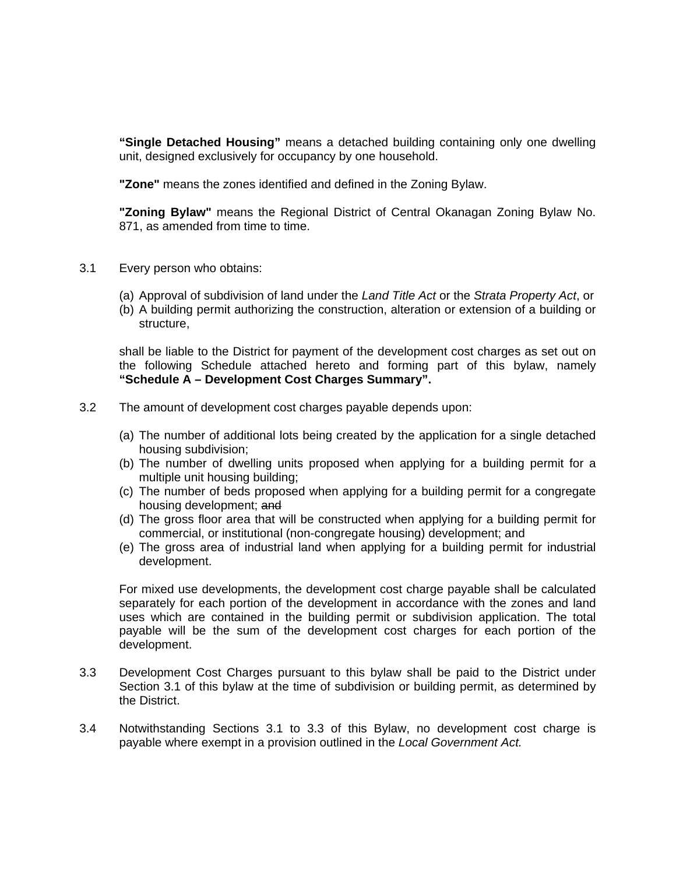**"Single Detached Housing"** means a detached building containing only one dwelling unit, designed exclusively for occupancy by one household.

**"Zone"** means the zones identified and defined in the Zoning Bylaw.

**"Zoning Bylaw"** means the Regional District of Central Okanagan Zoning Bylaw No. 871, as amended from time to time.

- 3.1 Every person who obtains:
	- (a) Approval of subdivision of land under the *Land Title Act* or the *Strata Property Act*, or
	- (b) A building permit authorizing the construction, alteration or extension of a building or structure,

shall be liable to the District for payment of the development cost charges as set out on the following Schedule attached hereto and forming part of this bylaw, namely **"Schedule A – Development Cost Charges Summary".** 

- 3.2 The amount of development cost charges payable depends upon:
	- (a) The number of additional lots being created by the application for a single detached housing subdivision;
	- (b) The number of dwelling units proposed when applying for a building permit for a multiple unit housing building;
	- (c) The number of beds proposed when applying for a building permit for a congregate housing development; and
	- (d) The gross floor area that will be constructed when applying for a building permit for commercial, or institutional (non-congregate housing) development; and
	- (e) The gross area of industrial land when applying for a building permit for industrial development.

For mixed use developments, the development cost charge payable shall be calculated separately for each portion of the development in accordance with the zones and land uses which are contained in the building permit or subdivision application. The total payable will be the sum of the development cost charges for each portion of the development.

- 3.3 Development Cost Charges pursuant to this bylaw shall be paid to the District under Section 3.1 of this bylaw at the time of subdivision or building permit, as determined by the District.
- 3.4 Notwithstanding Sections 3.1 to 3.3 of this Bylaw, no development cost charge is payable where exempt in a provision outlined in the *Local Government Act.*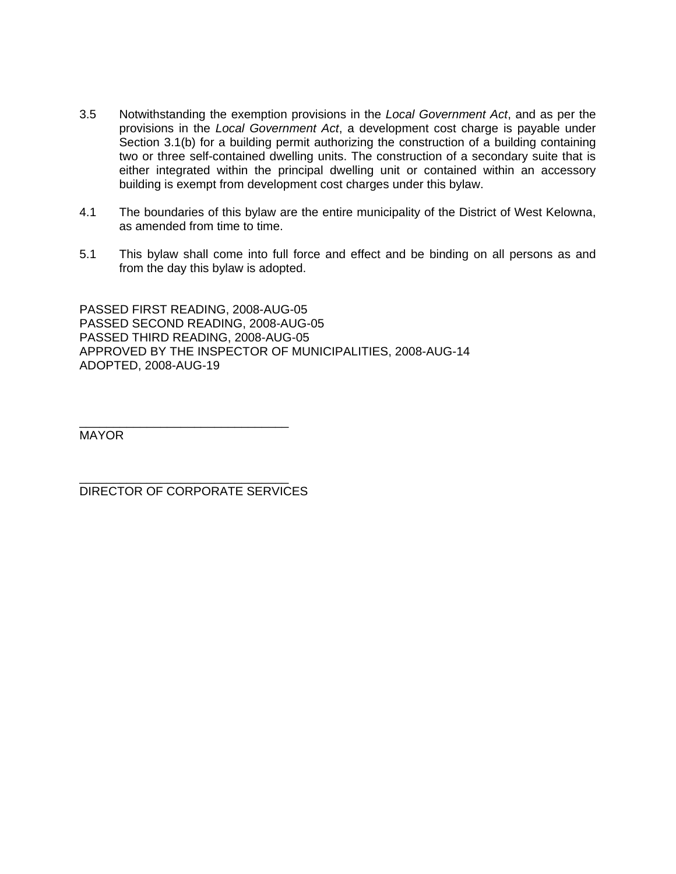- 3.5 Notwithstanding the exemption provisions in the *Local Government Act*, and as per the provisions in the *Local Government Act*, a development cost charge is payable under Section 3.1(b) for a building permit authorizing the construction of a building containing two or three self-contained dwelling units. The construction of a secondary suite that is either integrated within the principal dwelling unit or contained within an accessory building is exempt from development cost charges under this bylaw.
- 4.1 The boundaries of this bylaw are the entire municipality of the District of West Kelowna, as amended from time to time.
- 5.1 This bylaw shall come into full force and effect and be binding on all persons as and from the day this bylaw is adopted.

PASSED FIRST READING, 2008-AUG-05 PASSED SECOND READING, 2008-AUG-05 PASSED THIRD READING, 2008-AUG-05 APPROVED BY THE INSPECTOR OF MUNICIPALITIES, 2008-AUG-14 ADOPTED, 2008-AUG-19

\_\_\_\_\_\_\_\_\_\_\_\_\_\_\_\_\_\_\_\_\_\_\_\_\_\_\_\_\_\_\_ MAYOR

DIRECTOR OF CORPORATE SERVICES

\_\_\_\_\_\_\_\_\_\_\_\_\_\_\_\_\_\_\_\_\_\_\_\_\_\_\_\_\_\_\_